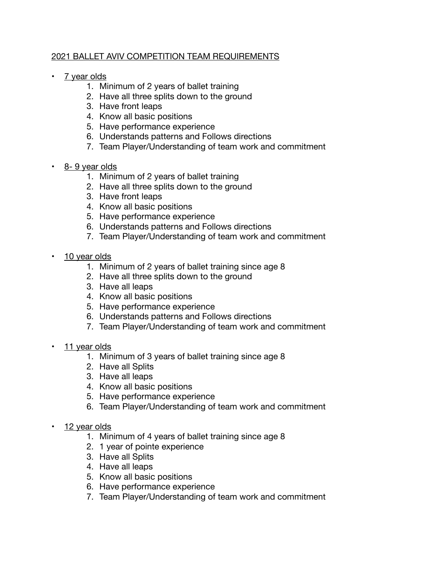## 2021 BALLET AVIV COMPETITION TEAM REQUIREMENTS

- 7 year olds
	- 1. Minimum of 2 years of ballet training
	- 2. Have all three splits down to the ground
	- 3. Have front leaps
	- 4. Know all basic positions
	- 5. Have performance experience
	- 6. Understands patterns and Follows directions
	- 7. Team Player/Understanding of team work and commitment
- 8- 9 year olds
	- 1. Minimum of 2 years of ballet training
	- 2. Have all three splits down to the ground
	- 3. Have front leaps
	- 4. Know all basic positions
	- 5. Have performance experience
	- 6. Understands patterns and Follows directions
	- 7. Team Player/Understanding of team work and commitment
- 10 year olds
	- 1. Minimum of 2 years of ballet training since age 8
	- 2. Have all three splits down to the ground
	- 3. Have all leaps
	- 4. Know all basic positions
	- 5. Have performance experience
	- 6. Understands patterns and Follows directions
	- 7. Team Player/Understanding of team work and commitment
- 11 year olds
	- 1. Minimum of 3 years of ballet training since age 8
	- 2. Have all Splits
	- 3. Have all leaps
	- 4. Know all basic positions
	- 5. Have performance experience
	- 6. Team Player/Understanding of team work and commitment
- 12 year olds
	- 1. Minimum of 4 years of ballet training since age 8
	- 2. 1 year of pointe experience
	- 3. Have all Splits
	- 4. Have all leaps
	- 5. Know all basic positions
	- 6. Have performance experience
	- 7. Team Player/Understanding of team work and commitment